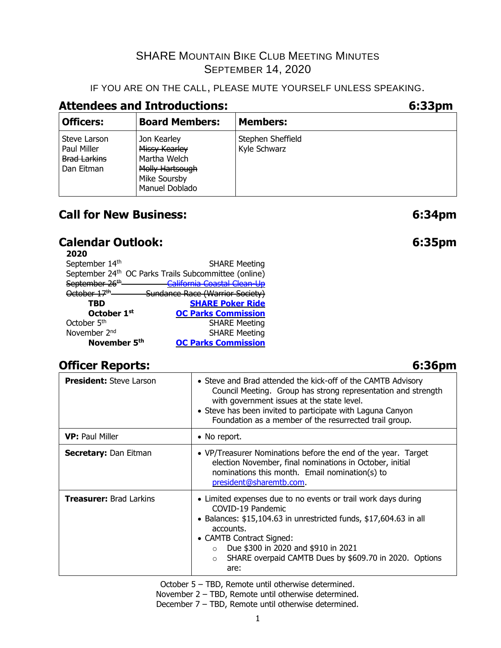#### IF YOU ARE ON THE CALL, PLEASE MUTE YOURSELF UNLESS SPEAKING.

# **Attendees and Introductions: 6:33pm**

| <b>Officers:</b>                                                 | <b>Board Members:</b>                                                                             | <b>Members:</b>                   |
|------------------------------------------------------------------|---------------------------------------------------------------------------------------------------|-----------------------------------|
| Steve Larson<br>Paul Miller<br><b>Brad Larkins</b><br>Dan Eitman | Jon Kearley<br>Missy Kearley<br>Martha Welch<br>Molly Hartsough<br>Mike Soursby<br>Manuel Doblado | Stephen Sheffield<br>Kyle Schwarz |

# **Call for New Business: 6:34pm**

# **Calendar Outlook: 6:35pm**

| 2020                       |                                                      |
|----------------------------|------------------------------------------------------|
| September 14th             | <b>SHARE Meeting</b>                                 |
|                            | September 24th OC Parks Trails Subcommittee (online) |
| September 26 <sup>th</sup> | California Coastal Clean-Up                          |
| October 17 <sup>th</sup>   | Sundance Race (Warrior Society)                      |
| TBD                        | <b>SHARE Poker Ride</b>                              |
| October 1st                | <b>OC Parks Commission</b>                           |
| October 5 <sup>th</sup>    | <b>SHARE Meeting</b>                                 |
| November 2 <sup>nd</sup>   | <b>SHARE Meeting</b>                                 |
| November 5th               | <b>OC Parks Commission</b>                           |

# **Officer Reports: 6:36pm**

| <b>President: Steve Larson</b> | • Steve and Brad attended the kick-off of the CAMTB Advisory<br>Council Meeting. Group has strong representation and strength<br>with government issues at the state level.<br>• Steve has been invited to participate with Laguna Canyon<br>Foundation as a member of the resurrected trail group.                               |
|--------------------------------|-----------------------------------------------------------------------------------------------------------------------------------------------------------------------------------------------------------------------------------------------------------------------------------------------------------------------------------|
| <b>VP:</b> Paul Miller         | • No report.                                                                                                                                                                                                                                                                                                                      |
| <b>Secretary: Dan Eitman</b>   | • VP/Treasurer Nominations before the end of the year. Target<br>election November, final nominations in October, initial<br>nominations this month. Email nomination(s) to<br>president@sharemtb.com.                                                                                                                            |
| <b>Treasurer: Brad Larkins</b> | • Limited expenses due to no events or trail work days during<br>COVID-19 Pandemic<br>• Balances: $$15,104.63$ in unrestricted funds, $$17,604.63$ in all<br>accounts.<br>• CAMTB Contract Signed:<br>Due \$300 in 2020 and \$910 in 2021<br>$\circ$<br>SHARE overpaid CAMTB Dues by \$609.70 in 2020. Options<br>$\circ$<br>are: |

October 5 – TBD, Remote until otherwise determined.

November 2 – TBD, Remote until otherwise determined. December 7 – TBD, Remote until otherwise determined.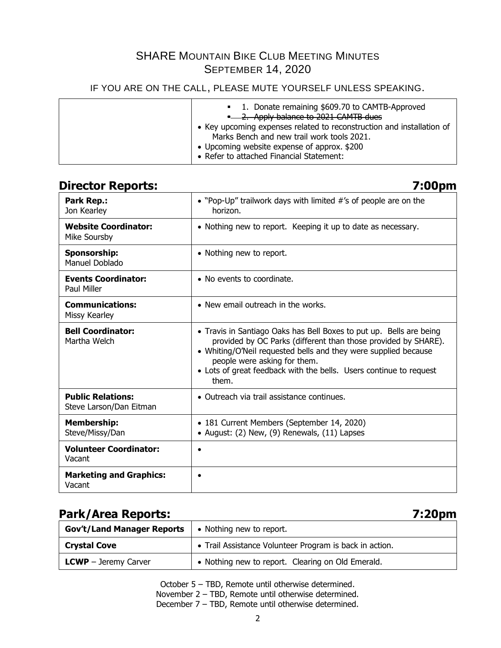#### IF YOU ARE ON THE CALL, PLEASE MUTE YOURSELF UNLESS SPEAKING.

## **Director Reports: 7:00pm**

| <b>Park Rep.:</b><br>Jon Kearley                    | • "Pop-Up" trailwork days with limited #'s of people are on the<br>horizon.                                                                                                                                                                                                                                             |
|-----------------------------------------------------|-------------------------------------------------------------------------------------------------------------------------------------------------------------------------------------------------------------------------------------------------------------------------------------------------------------------------|
| <b>Website Coordinator:</b><br>Mike Soursby         | • Nothing new to report. Keeping it up to date as necessary.                                                                                                                                                                                                                                                            |
| Sponsorship:<br>Manuel Doblado                      | • Nothing new to report.                                                                                                                                                                                                                                                                                                |
| <b>Events Coordinator:</b><br>Paul Miller           | $\bullet$ No events to coordinate.                                                                                                                                                                                                                                                                                      |
| <b>Communications:</b><br>Missy Kearley             | • New email outreach in the works.                                                                                                                                                                                                                                                                                      |
| <b>Bell Coordinator:</b><br>Martha Welch            | • Travis in Santiago Oaks has Bell Boxes to put up. Bells are being<br>provided by OC Parks (different than those provided by SHARE).<br>• Whiting/O'Neil requested bells and they were supplied because<br>people were asking for them.<br>• Lots of great feedback with the bells. Users continue to request<br>them. |
| <b>Public Relations:</b><br>Steve Larson/Dan Eitman | • Outreach via trail assistance continues.                                                                                                                                                                                                                                                                              |
| <b>Membership:</b><br>Steve/Missy/Dan               | • 181 Current Members (September 14, 2020)<br>• August: (2) New, (9) Renewals, (11) Lapses                                                                                                                                                                                                                              |
| <b>Volunteer Coordinator:</b><br>Vacant             | $\bullet$                                                                                                                                                                                                                                                                                                               |
| <b>Marketing and Graphics:</b><br>Vacant            |                                                                                                                                                                                                                                                                                                                         |

# **Park/Area Reports: 7:20pm**

| <b>Gov't/Land Manager Reports</b> | • Nothing new to report.                                |
|-----------------------------------|---------------------------------------------------------|
| <b>Crystal Cove</b>               | • Trail Assistance Volunteer Program is back in action. |
| <b>LCWP</b> $-$ Jeremy Carver     | • Nothing new to report. Clearing on Old Emerald.       |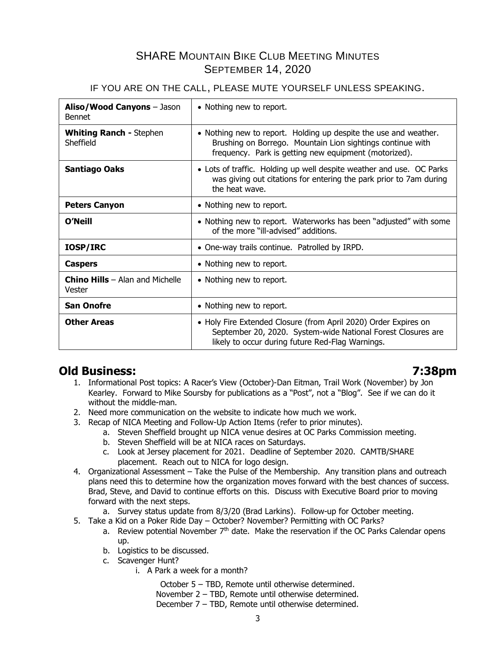#### IF YOU ARE ON THE CALL, PLEASE MUTE YOURSELF UNLESS SPEAKING.

| Aliso/Wood Canyons - Jason<br><b>Bennet</b>        | • Nothing new to report.                                                                                                                                                                |  |  |
|----------------------------------------------------|-----------------------------------------------------------------------------------------------------------------------------------------------------------------------------------------|--|--|
| <b>Whiting Ranch - Stephen</b><br>Sheffield        | • Nothing new to report. Holding up despite the use and weather.<br>Brushing on Borrego. Mountain Lion sightings continue with<br>frequency. Park is getting new equipment (motorized). |  |  |
| <b>Santiago Oaks</b>                               | • Lots of traffic. Holding up well despite weather and use. OC Parks<br>was giving out citations for entering the park prior to 7am during<br>the heat wave.                            |  |  |
| <b>Peters Canyon</b>                               | • Nothing new to report.                                                                                                                                                                |  |  |
| O'Neill                                            | • Nothing new to report. Waterworks has been "adjusted" with some<br>of the more "ill-advised" additions.                                                                               |  |  |
| <b>IOSP/IRC</b>                                    | • One-way trails continue. Patrolled by IRPD.                                                                                                                                           |  |  |
| <b>Caspers</b>                                     | • Nothing new to report.                                                                                                                                                                |  |  |
| <b>Chino Hills</b> $-$ Alan and Michelle<br>Vester | • Nothing new to report.                                                                                                                                                                |  |  |
| <b>San Onofre</b>                                  | • Nothing new to report.                                                                                                                                                                |  |  |
| <b>Other Areas</b>                                 | • Holy Fire Extended Closure (from April 2020) Order Expires on<br>September 20, 2020. System-wide National Forest Closures are<br>likely to occur during future Red-Flag Warnings.     |  |  |

# **Old Business: 7:38pm**

- 1. Informational Post topics: A Racer's View (October)-Dan Eitman, Trail Work (November) by Jon Kearley. Forward to Mike Soursby for publications as a "Post", not a "Blog". See if we can do it without the middle-man.
- 2. Need more communication on the website to indicate how much we work.
- 3. Recap of NICA Meeting and Follow-Up Action Items (refer to prior minutes).
	- a. Steven Sheffield brought up NICA venue desires at OC Parks Commission meeting.
	- b. Steven Sheffield will be at NICA races on Saturdays.
	- c. Look at Jersey placement for 2021. Deadline of September 2020. CAMTB/SHARE placement. Reach out to NICA for logo design.
- 4. Organizational Assessment Take the Pulse of the Membership. Any transition plans and outreach plans need this to determine how the organization moves forward with the best chances of success. Brad, Steve, and David to continue efforts on this. Discuss with Executive Board prior to moving forward with the next steps.
	- a. Survey status update from 8/3/20 (Brad Larkins). Follow-up for October meeting.
- 5. Take a Kid on a Poker Ride Day October? November? Permitting with OC Parks?
	- a. Review potential November  $7<sup>th</sup>$  date. Make the reservation if the OC Parks Calendar opens up.
	- b. Logistics to be discussed.
	- c. Scavenger Hunt?
		- i. A Park a week for a month?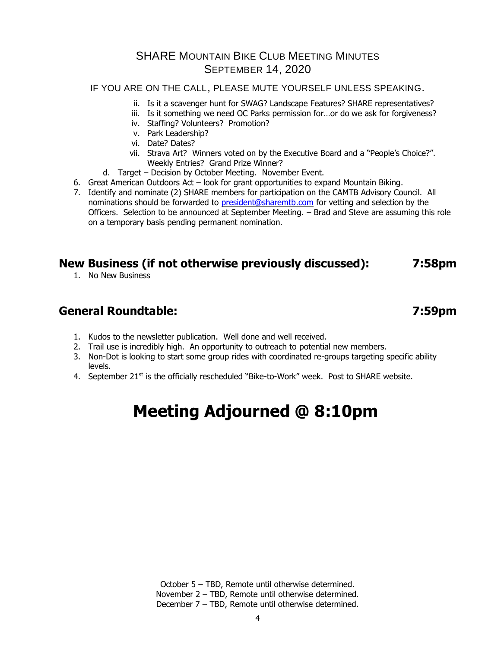#### IF YOU ARE ON THE CALL, PLEASE MUTE YOURSELF UNLESS SPEAKING.

- ii. Is it a scavenger hunt for SWAG? Landscape Features? SHARE representatives?
	- iii. Is it something we need OC Parks permission for…or do we ask for forgiveness?
	- iv. Staffing? Volunteers? Promotion?
	- v. Park Leadership?
	- vi. Date? Dates?
- vii. Strava Art? Winners voted on by the Executive Board and a "People's Choice?". Weekly Entries? Grand Prize Winner?
- d. Target Decision by October Meeting. November Event.
- 6. Great American Outdoors Act look for grant opportunities to expand Mountain Biking.
- 7. Identify and nominate (2) SHARE members for participation on the CAMTB Advisory Council. All nominations should be forwarded to [president@sharemtb.com](mailto:president@sharemtb.com) for vetting and selection by the Officers. Selection to be announced at September Meeting. – Brad and Steve are assuming this role on a temporary basis pending permanent nomination.

# **New Business (if not otherwise previously discussed): 7:58pm**

1. No New Business

# **General Roundtable: 7:59pm**

- 1. Kudos to the newsletter publication. Well done and well received.
- 2. Trail use is incredibly high. An opportunity to outreach to potential new members.
- 3. Non-Dot is looking to start some group rides with coordinated re-groups targeting specific ability levels.
- 4. September  $21^{st}$  is the officially rescheduled "Bike-to-Work" week. Post to SHARE website.

# **Meeting Adjourned @ 8:10pm**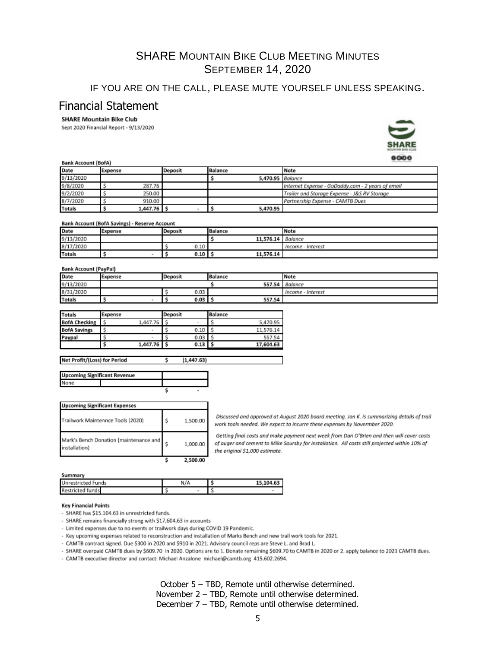#### IF YOU ARE ON THE CALL, PLEASE MUTE YOURSELF UNLESS SPEAKING.

#### Financial Statement

#### **SHARE Mountain Bike Club**

Sept 2020 Financial Report - 9/13/2020



|               | <b>UWU</b><br>Bank Account (BofA) |               |         |                |                  |                                                   |  |
|---------------|-----------------------------------|---------------|---------|----------------|------------------|---------------------------------------------------|--|
| Date          | Expense                           |               | Deposit | <b>Balance</b> |                  | Note                                              |  |
| 9/13/2020     |                                   |               |         |                | 5,470.95 Balance |                                                   |  |
| 9/8/2020      |                                   | 287.76        |         |                |                  | Internet Expense - GoDaddy.com - 2 years of email |  |
| 9/2/2020      |                                   | 250.00        |         |                |                  | Trailer and Storage Expense - J&S RV Storage      |  |
| 8/7/2020      |                                   | 910.00        |         |                |                  | Partnership Expense - CAMTB Dues                  |  |
| <b>Totals</b> |                                   | $1,447.76$ \$ |         |                | 5,470.95         |                                                   |  |

#### Bank Account (BofA Savings) - Reserve Account

| Date          | Expense | Deposit | Balance   | Note              |
|---------------|---------|---------|-----------|-------------------|
| 9/13/2020     |         |         | 11,576.14 | Balance           |
| 8/17/2020     |         | 0.10    |           | Income - Interest |
| <b>Totals</b> |         | 0.10    | 11,576.14 |                   |

#### **Bank Account (PavPal)**

Net Profit/(Loss) for Period

| Date          | Expense | Deposit | Balance | Note                 |
|---------------|---------|---------|---------|----------------------|
| 9/13/2020     |         |         | 557.54  | Balance              |
| 8/31/2020     |         | 0.03    |         | - Interest<br>Income |
| <b>Totals</b> |         | 0.03    | 557.54  |                      |

| <b>Totals</b>        | Expense |          | Deposit |        | Balance |           |
|----------------------|---------|----------|---------|--------|---------|-----------|
| <b>BofA Checking</b> |         | 1,447.76 |         | $\sim$ |         | 5.470.95  |
| <b>BofA Savings</b>  |         | $\sim$   |         | 0.10   |         | 11.576.14 |
| Paypal               |         | $\sim$   |         | 0.03   |         | 557.54    |
|                      |         | 1,447.76 |         | 0.13   |         | 17,604.63 |

¢

 $(1, 447.63)$ 

| <b>Upcoming Significant Revenue</b> |  |  |
|-------------------------------------|--|--|
|                                     |  |  |
|                                     |  |  |

| <b>Upcoming Significant Expenses</b>                    |   |          |
|---------------------------------------------------------|---|----------|
| Trailwork Maintennce Tools (2020)                       | s | 1,500.00 |
| Mark's Bench Donation (maintenance and<br>installation) |   | 1,000.00 |
|                                                         |   | 2,500.00 |

Discussed and approved at August 2020 board meeting. Jon K. is summarizing details of trail work tools needed. We expect to incurre these expenses by Novermber 2020.

Getting final costs and make payment next week from Dan O'Brien and then will cover costs of auger and cement to Mike Soursby for installation. All costs still projected within 10% of the original \$1,000 estimate.

#### Summary

| <b>Unrestricted Funds</b> | N/A | 15.104.63 |
|---------------------------|-----|-----------|
| <b>Restricted funds</b>   |     |           |

#### **Key Financial Points**

- SHARE has \$15.104.63 in unrestricted funds.
- SHARE remains financially strong with \$17,604.63 in accounts
- Limited expenses due to no events or trailwork days during COVID 19 Pandemic.
- Key upcoming expenses related to reconstruction and installation of Marks Bench and new trail work tools for 2021.
- CAMTB contract signed. Due \$300 in 2020 and \$910 in 2021. Advisory council reps are Steve L. and Brad L.
- SHARE overpaid CAMTB dues by \$609.70 in 2020. Options are to 1. Donate remaining \$609.70 to CAMTB in 2020 or 2. apply balance to 2021 CAMTB dues.
- CAMTB executive director and contact: Michael Anzalone michael@camtb.org 415.602.2694.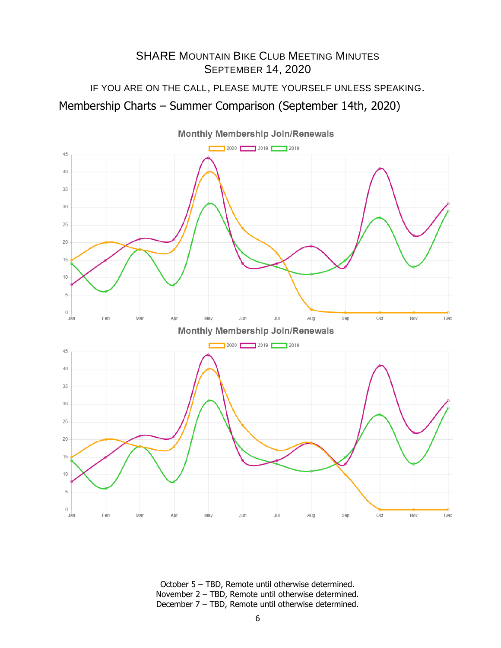IF YOU ARE ON THE CALL, PLEASE MUTE YOURSELF UNLESS SPEAKING. Membership Charts – Summer Comparison (September 14th, 2020)



October 5 – TBD, Remote until otherwise determined. November 2 – TBD, Remote until otherwise determined. December 7 – TBD, Remote until otherwise determined.